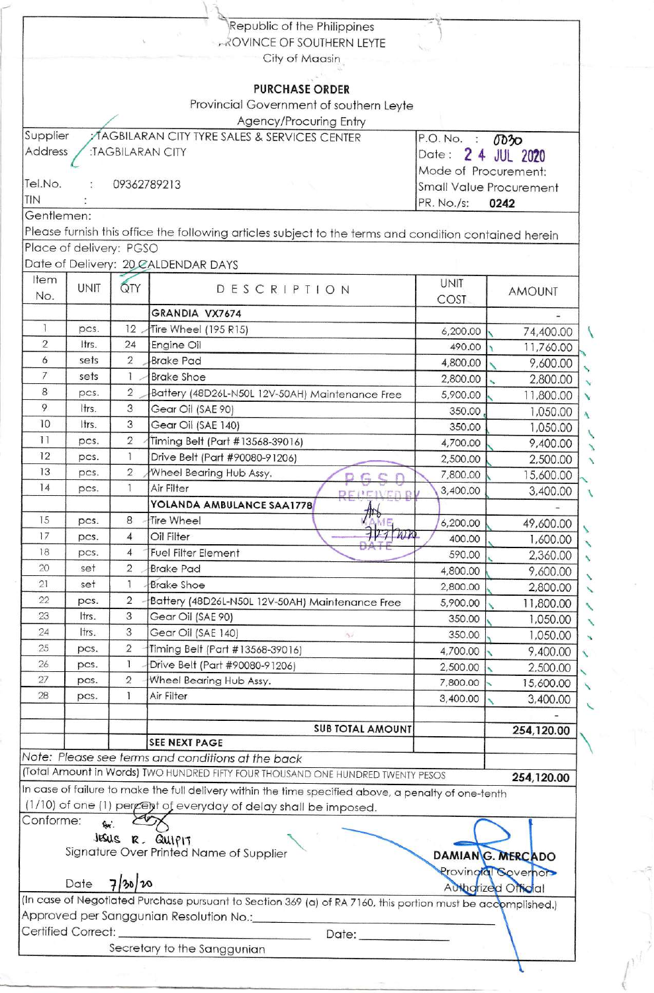|                |                         |                | Republic of the Philippines                                                                                 |                      |                                |
|----------------|-------------------------|----------------|-------------------------------------------------------------------------------------------------------------|----------------------|--------------------------------|
|                |                         |                | <b>AROVINCE OF SOUTHERN LEYTE</b>                                                                           |                      |                                |
|                |                         |                | City of Maasin                                                                                              |                      |                                |
|                |                         |                |                                                                                                             |                      |                                |
|                |                         |                | <b>PURCHASE ORDER</b>                                                                                       |                      |                                |
|                |                         |                | Provincial Government of southern Leyte                                                                     |                      |                                |
|                |                         |                | Agency/Procuring Entry                                                                                      |                      |                                |
| Supplier       |                         |                | AGBILARAN CITY TYRE SALES & SERVICES CENTER                                                                 | P.O. No. :           | 0030                           |
| Address        |                         |                | :TAGBILARAN CITY                                                                                            | Date :               | 2 4 JUL 2020                   |
|                |                         |                |                                                                                                             | Mode of Procurement: |                                |
| Tel.No.        |                         | 09362789213    |                                                                                                             |                      | <b>Small Value Procurement</b> |
| TIN            |                         |                |                                                                                                             | PR. No./s:           | 0242                           |
| Gentlemen:     |                         |                |                                                                                                             |                      |                                |
|                |                         |                | Please furnish this office the following articles subject to the terms and condition contained herein       |                      |                                |
|                | Place of delivery: PGSO |                |                                                                                                             |                      |                                |
|                |                         |                | Date of Delivery: 20 CALDENDAR DAYS                                                                         |                      |                                |
| Item           |                         |                |                                                                                                             | <b>UNIT</b>          |                                |
| No.            | UNIT                    | QTY            | DESCRIPTION                                                                                                 | COST                 | <b>AMOUNT</b>                  |
|                |                         |                | GRANDIA VX7674                                                                                              |                      |                                |
| $\overline{1}$ | pcs.                    | 12             | Tire Wheel (195 R15)                                                                                        | 6,200.00             | 74,400.00                      |
| $\overline{2}$ | Itrs.                   | 24             | Engine Oil                                                                                                  | 490.00               | 11,760.00                      |
| 6              | sets                    | $\overline{2}$ | <b>Brake Pad</b>                                                                                            | 4,800.00             | 9,600.00                       |
| $\overline{7}$ | sets                    | 1              | <b>Brake Shoe</b>                                                                                           | 2,800.00             | 2,800.00                       |
| 8              | pcs.                    | $\overline{2}$ | Battery (48D26L-N50L 12V-50AH) Maintenance Free                                                             | 5,900.00             | 11,800.00                      |
| 9              | Itrs.                   | 3              | Gear Oil (SAE 90)                                                                                           | 350.00               | 1,050.00                       |
| 10             | Itrs.                   | 3              | Gear Oil (SAE 140)                                                                                          | 350.00               | 1,050.00                       |
| 11             | pcs.                    | $\overline{2}$ | Timing Belt (Part #13568-39016)                                                                             | 4,700.00             | 9,400.00                       |
| 12             | pcs.                    | $\mathbf{1}$   | Drive Belt (Part #90080-91206)                                                                              | 2,500.00             | 2,500.00                       |
| 13             | pcs.                    | $\sqrt{2}$     | Wheel Bearing Hub Assy.<br>D G C                                                                            | 7,800.00             | 15,600.00                      |
| 14             | pcs.                    | 1              | Air Filter<br><b>DEPERED B</b>                                                                              | 3,400.00             | 3,400.00                       |
|                |                         |                | YOLANDA AMBULANCE SAA1778                                                                                   |                      |                                |
| 15             | pcs.                    | 8              | Tire Wheel                                                                                                  | 6,200.00             | 49,600.00                      |
| 17             | pcs.                    | 4              | $727$ Wh<br>Oil Filter                                                                                      | 400.00               | 1,600.00                       |
| 18             | pcs.                    | 4              | <b>Fuel Filter Element</b>                                                                                  | 590.00               | 2,360.00                       |
| 20             | set                     | 2              | <b>Brake Pad</b>                                                                                            | 4,800.00             | 9,600.00                       |
| 21             | set                     | 1              | <b>Brake Shoe</b>                                                                                           | 2,800.00             | 2,800.00                       |
| 22             | pcs.                    | 2              | Battery (48D26L-N50L 12V-50AH) Maintenance Free                                                             | 5,900.00             | 11,800.00                      |
| 23             | ltrs.                   | 3              | Gear Oil (SAE 90)                                                                                           | 350.00               | 1,050.00                       |
| 24             | Itrs.                   | 3              | Gear Oil (SAE 140)<br>22                                                                                    | 350.00               | 1,050.00                       |
| 25             | pcs.                    | $\sqrt{2}$     | Timing Belt (Part #13568-39016)                                                                             | 4,700.00             | 9,400.00                       |
| 26             | pcs.                    | 1              | Drive Belt (Part #90080-91206)                                                                              | 2,500.00             | 2,500.00                       |
| 27             | pcs.                    | $\overline{2}$ | Wheel Bearing Hub Assy.                                                                                     | 7,800.00             | 15,600.00                      |
| 28             | pcs.                    | T              | Air Filter                                                                                                  | 3,400.00             | 3,400.00                       |
|                |                         |                |                                                                                                             |                      |                                |
|                |                         |                | <b>SUB TOTAL AMOUNT</b>                                                                                     |                      | 254,120.00                     |
|                |                         |                | <b>SEE NEXT PAGE</b>                                                                                        |                      |                                |
|                |                         |                | Note: Please see terms and conditions at the back                                                           |                      |                                |
|                |                         |                | (Total Amount in Words) TWO HUNDRED FIFTY FOUR THOUSAND ONE HUNDRED TWENTY PESOS                            |                      | 254,120.00                     |
|                |                         |                | In case of failure to make the full delivery within the time specified above, a penalty of one-tenth        |                      |                                |
|                |                         |                | (1/10) of one (1) percept of everyday of delay shall be imposed.                                            |                      |                                |
| Conforme:      | Qα.                     |                |                                                                                                             |                      |                                |
|                |                         |                | JESUS R. QUIPIT                                                                                             |                      |                                |
|                |                         |                | Signature Over Printed Name of Supplier                                                                     |                      | DAMIANG. MERCADO               |
|                |                         |                |                                                                                                             |                      | Provingial Sovernor            |
|                |                         |                |                                                                                                             |                      |                                |
|                | Date                    | 7/30/10        |                                                                                                             |                      | <b>Authorized Official</b>     |
|                |                         |                | (In case of Negotiated Purchase pursuant to Section 369 (a) of RA 7160, this portion must be accomplished.) |                      |                                |
|                |                         |                | Approved per Sanggunian Resolution No.:                                                                     |                      |                                |
|                | Certified Correct:      |                | Date: <b>Date:</b><br>Secretary to the Sanggunian                                                           |                      |                                |

 $\frac{1}{2}$ n<sup>d</sup>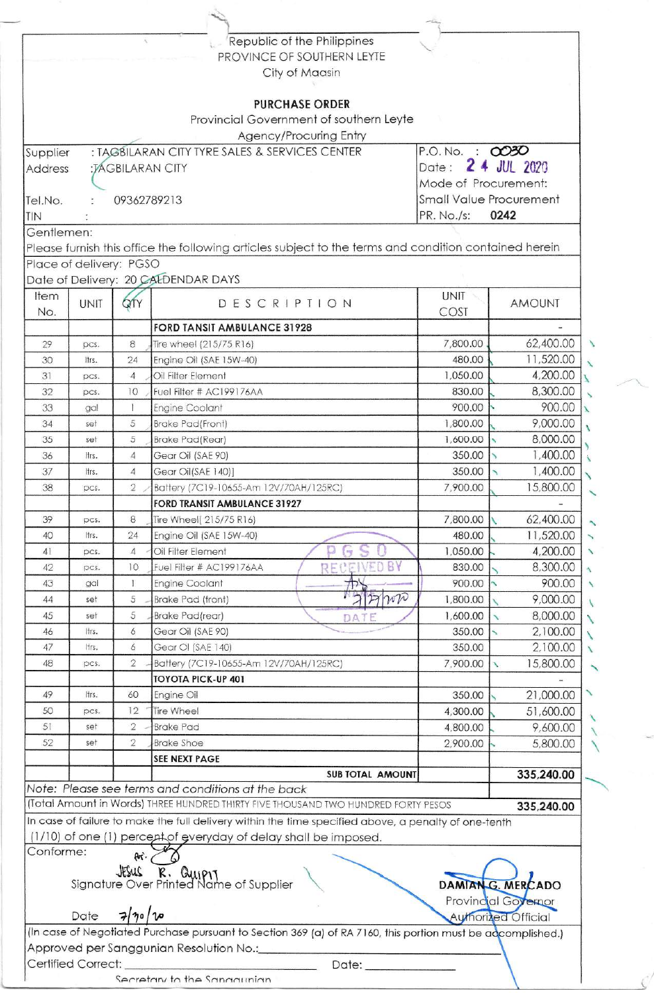|                   |                           | $\Delta_{\rm c}$    | Republic of the Philippines                                                                                 |                      |                                |
|-------------------|---------------------------|---------------------|-------------------------------------------------------------------------------------------------------------|----------------------|--------------------------------|
|                   |                           |                     | PROVINCE OF SOUTHERN LEYTE<br>City of Maasin                                                                |                      |                                |
|                   |                           |                     |                                                                                                             |                      |                                |
|                   |                           |                     | <b>PURCHASE ORDER</b>                                                                                       |                      |                                |
|                   |                           |                     | Provincial Government of southern Leyte                                                                     |                      |                                |
|                   |                           |                     | Agency/Procuring Entry                                                                                      |                      |                                |
| Supplier          |                           |                     | : TAGBILARAN CITY TYRE SALES & SERVICES CENTER                                                              | P.O. No. : 0030      |                                |
| <b>Address</b>    | Date:<br>:JAGBILARAN CITY |                     |                                                                                                             |                      | 2 4 JUL 2020                   |
|                   |                           |                     |                                                                                                             | Mode of Procurement: |                                |
| Tel.No.           |                           | 09362789213         |                                                                                                             |                      | <b>Small Value Procurement</b> |
| TIN<br>Gentlemen: |                           |                     |                                                                                                             | PR. No./s:           | 0242                           |
|                   |                           |                     | Please furnish this office the following articles subject to the terms and condition contained herein       |                      |                                |
|                   | Place of delivery: PGSO   |                     |                                                                                                             |                      |                                |
|                   |                           |                     | Date of Delivery: 20 CALDENDAR DAYS                                                                         |                      |                                |
| Item              |                           |                     |                                                                                                             | <b>UNIT</b>          |                                |
| No.               | <b>UNIT</b>               | QTY                 | DESCRIPTION                                                                                                 | COST                 | <b>AMOUNT</b>                  |
|                   |                           |                     | <b>FORD TANSIT AMBULANCE 31928</b>                                                                          |                      |                                |
| 29                | pcs.                      | 8                   | Tire wheel (215/75 R16)                                                                                     | 7,800.00             | 62,400.00                      |
| 30                | ltrs.                     | 24                  | Engine Oil (SAE 15W-40)                                                                                     | 480.00               | 11,520.00                      |
| 31                | pcs.                      | $\overline{4}$      | Oil Filter Element                                                                                          | 1,050.00             | 4,200.00                       |
| 32                | pcs.                      | 10                  | Fuel Filter # AC199176AA                                                                                    | 830.00               | 8,300.00                       |
| 33                | gal                       | Ť                   | <b>Engine Coolant</b>                                                                                       | 900.00               | 900.00                         |
| 34<br>35          | set<br>set                | 5<br>5              | <b>Brake Pad (Front)</b><br><b>Brake Pad (Rear)</b>                                                         | 1,800.00<br>1,600.00 | 9,000.00<br>8,000.00           |
| 36                | ltrs.                     | 4                   | Gear Oil (SAE 90)                                                                                           | 350.00               | 1,400.00                       |
| 37                | ltrs.                     | $\overline{4}$      | Gear Oil(SAE 140)]                                                                                          | 350.00               | 1,400.00                       |
| 38                | pcs.                      | 2                   | Battery (7C19-10655-Am 12V/70AH/125RC)                                                                      | 7,900.00             | 15,800.00                      |
|                   |                           |                     | <b>FORD TRANSIT AMBULANCE 31927</b>                                                                         |                      |                                |
| 39                | pcs.                      | 8                   | Tire Wheel( 215/75 R16)                                                                                     | 7,800.00             | 62,400.00                      |
| 40                | ltrs.                     | 24                  | Engine Oil (SAE 15W-40)                                                                                     | 480.00               | 11,520.00                      |
| 41                | pcs.                      | $\overline{A}$      | Oil Filter Element                                                                                          | 1,050.00             | 4,200.00                       |
| 42                | pcs.                      | 10                  | RECEIVED BY<br>Fuel Filter # AC199176AA                                                                     | 830.00               | 8,300.00                       |
| 43                | gal                       | T.                  | <b>Engine Coolant</b>                                                                                       | 900.00               | 900.00                         |
| 44                | set                       | 5                   | antelt<br>Brake Pad (front)                                                                                 | 1,800.00             | 9,000.00                       |
| 45                | set                       | 5                   | <b>Brake Pad(rear)</b><br>DATE                                                                              | 1,600.00             | 8,000.00                       |
| 46<br>47          | ltrs.<br>Itrs.            | 6                   | Gear Oil (SAE 90)                                                                                           | 350.00               | 2,100.00                       |
| 48                | pcs.                      | 6<br>$\overline{2}$ | Gear OI (SAE 140)<br>Battery (7C19-10655-Am 12V/70AH/125RC)                                                 | 350.00<br>7,900.00   | 2,100.00<br>15,800.00<br>X     |
|                   |                           |                     | <b>TOYOTA PICK-UP 401</b>                                                                                   |                      |                                |
| 49                | ltrs.                     | 60                  | Engine Oil                                                                                                  | 350.00               | 21,000.00                      |
| 50                | pcs.                      | 12                  | <b>Tire Wheel</b>                                                                                           | 4,300.00             | 51,600.00                      |
| 51                | set                       | $\overline{2}$      | <b>Brake Pad</b>                                                                                            | 4,800.00             | 9,600.00                       |
| 52                | set                       | 2                   | <b>Brake Shoe</b>                                                                                           | 2,900.00             | 5,800.00                       |
|                   |                           |                     | <b>SEE NEXT PAGE</b>                                                                                        |                      |                                |
|                   |                           |                     | <b>SUB TOTAL AMOUNT</b>                                                                                     |                      | 335,240.00                     |
|                   |                           |                     | Note: Please see terms and conditions at the back                                                           |                      |                                |
|                   |                           |                     | (Total Amount in Words) THREE HUNDRED THIRTY FIVE THOUSAND TWO HUNDRED FORTY PESOS                          |                      | 335,240.00                     |
|                   |                           |                     | In case of failure to make the full delivery within the time specified above, a penalty of one-tenth        |                      |                                |
| Conforme:         |                           |                     | (1/10) of one (1) percept of everyday of delay shall be imposed.                                            |                      |                                |
|                   |                           | for.                |                                                                                                             |                      |                                |
|                   |                           |                     | <b>JESUS R. Quipty</b><br>Signature Over Printed Name of Supplier                                           |                      | DAMIANG. MERCADO               |
|                   |                           |                     |                                                                                                             |                      | Provincial Governor            |
|                   | Date                      | 7/70/v              |                                                                                                             |                      | <b>Authorized Official</b>     |
|                   |                           |                     | (In case of Negotiated Purchase pursuant to Section 369 (a) of RA 7160, this portion must be adcomplished.) |                      |                                |
|                   |                           |                     |                                                                                                             |                      |                                |
|                   |                           |                     | Approved per Sanggunian Resolution No.:                                                                     |                      |                                |

Secretary to the Sanadunian